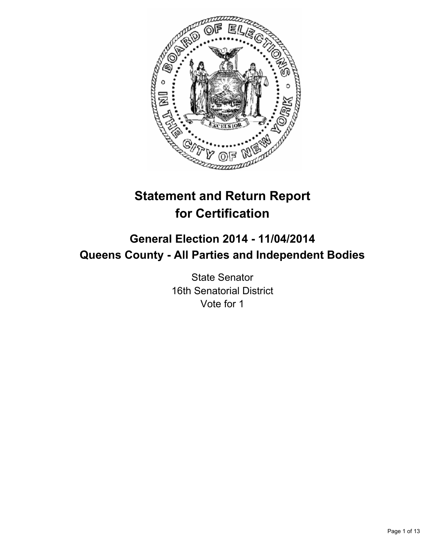

# **Statement and Return Report for Certification**

# **General Election 2014 - 11/04/2014 Queens County - All Parties and Independent Bodies**

State Senator 16th Senatorial District Vote for 1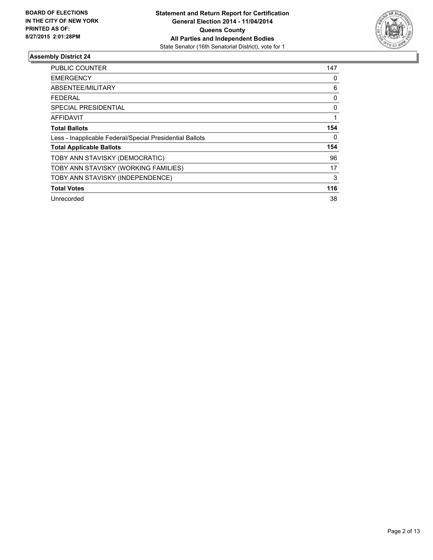

| <b>PUBLIC COUNTER</b>                                    | 147      |
|----------------------------------------------------------|----------|
| <b>EMERGENCY</b>                                         | 0        |
| ABSENTEE/MILITARY                                        | 6        |
| <b>FEDERAL</b>                                           | 0        |
| <b>SPECIAL PRESIDENTIAL</b>                              | $\Omega$ |
| AFFIDAVIT                                                |          |
| <b>Total Ballots</b>                                     | 154      |
| Less - Inapplicable Federal/Special Presidential Ballots | 0        |
| <b>Total Applicable Ballots</b>                          | 154      |
| TOBY ANN STAVISKY (DEMOCRATIC)                           | 96       |
| TOBY ANN STAVISKY (WORKING FAMILIES)                     | 17       |
| TOBY ANN STAVISKY (INDEPENDENCE)                         | 3        |
| <b>Total Votes</b>                                       | 116      |
| Unrecorded                                               | 38       |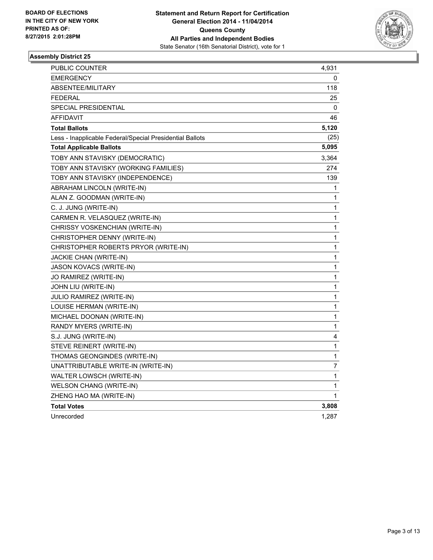

| PUBLIC COUNTER                                           | 4,931 |
|----------------------------------------------------------|-------|
| <b>EMERGENCY</b>                                         | 0     |
| ABSENTEE/MILITARY                                        | 118   |
| <b>FEDERAL</b>                                           | 25    |
| SPECIAL PRESIDENTIAL                                     | 0     |
| AFFIDAVIT                                                | 46    |
| <b>Total Ballots</b>                                     | 5,120 |
| Less - Inapplicable Federal/Special Presidential Ballots | (25)  |
| <b>Total Applicable Ballots</b>                          | 5,095 |
| TOBY ANN STAVISKY (DEMOCRATIC)                           | 3,364 |
| TOBY ANN STAVISKY (WORKING FAMILIES)                     | 274   |
| TOBY ANN STAVISKY (INDEPENDENCE)                         | 139   |
| ABRAHAM LINCOLN (WRITE-IN)                               | 1     |
| ALAN Z. GOODMAN (WRITE-IN)                               | 1     |
| C. J. JUNG (WRITE-IN)                                    | 1     |
| CARMEN R. VELASQUEZ (WRITE-IN)                           | 1     |
| CHRISSY VOSKENCHIAN (WRITE-IN)                           | 1     |
| CHRISTOPHER DENNY (WRITE-IN)                             | 1     |
| CHRISTOPHER ROBERTS PRYOR (WRITE-IN)                     | 1     |
| JACKIE CHAN (WRITE-IN)                                   | 1     |
| JASON KOVACS (WRITE-IN)                                  | 1     |
| JO RAMIREZ (WRITE-IN)                                    | 1     |
| JOHN LIU (WRITE-IN)                                      | 1     |
| JULIO RAMIREZ (WRITE-IN)                                 | 1     |
| LOUISE HERMAN (WRITE-IN)                                 | 1     |
| MICHAEL DOONAN (WRITE-IN)                                | 1     |
| RANDY MYERS (WRITE-IN)                                   | 1     |
| S.J. JUNG (WRITE-IN)                                     | 4     |
| STEVE REINERT (WRITE-IN)                                 | 1     |
| THOMAS GEONGINDES (WRITE-IN)                             | 1     |
| UNATTRIBUTABLE WRITE-IN (WRITE-IN)                       | 7     |
| WALTER LOWSCH (WRITE-IN)                                 | 1     |
| WELSON CHANG (WRITE-IN)                                  | 1     |
| ZHENG HAO MA (WRITE-IN)                                  | 1     |
| <b>Total Votes</b>                                       | 3,808 |
| Unrecorded                                               | 1,287 |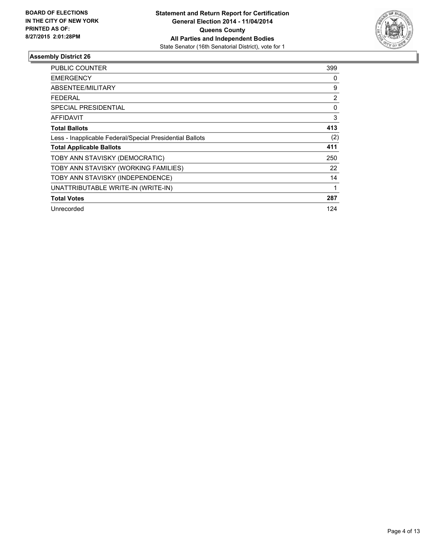

| <b>PUBLIC COUNTER</b>                                    | 399            |
|----------------------------------------------------------|----------------|
| <b>EMERGENCY</b>                                         | 0              |
| ABSENTEE/MILITARY                                        | 9              |
| <b>FEDERAL</b>                                           | $\overline{2}$ |
| SPECIAL PRESIDENTIAL                                     | 0              |
| AFFIDAVIT                                                | 3              |
| <b>Total Ballots</b>                                     | 413            |
| Less - Inapplicable Federal/Special Presidential Ballots | (2)            |
| <b>Total Applicable Ballots</b>                          | 411            |
| TOBY ANN STAVISKY (DEMOCRATIC)                           | 250            |
| TOBY ANN STAVISKY (WORKING FAMILIES)                     | 22             |
| TOBY ANN STAVISKY (INDEPENDENCE)                         | 14             |
| UNATTRIBUTABLE WRITE-IN (WRITE-IN)                       | 1              |
| <b>Total Votes</b>                                       | 287            |
| Unrecorded                                               | 124            |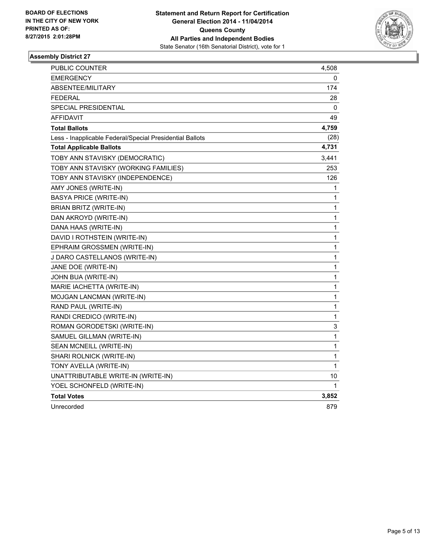

| <b>PUBLIC COUNTER</b>                                    | 4,508       |
|----------------------------------------------------------|-------------|
| <b>EMERGENCY</b>                                         | 0           |
| ABSENTEE/MILITARY                                        | 174         |
| <b>FEDERAL</b>                                           | 28          |
| <b>SPECIAL PRESIDENTIAL</b>                              | 0           |
| AFFIDAVIT                                                | 49          |
| <b>Total Ballots</b>                                     | 4,759       |
| Less - Inapplicable Federal/Special Presidential Ballots | (28)        |
| <b>Total Applicable Ballots</b>                          | 4,731       |
| TOBY ANN STAVISKY (DEMOCRATIC)                           | 3,441       |
| TOBY ANN STAVISKY (WORKING FAMILIES)                     | 253         |
| TOBY ANN STAVISKY (INDEPENDENCE)                         | 126         |
| AMY JONES (WRITE-IN)                                     | 1           |
| BASYA PRICE (WRITE-IN)                                   | 1           |
| BRIAN BRITZ (WRITE-IN)                                   | 1           |
| DAN AKROYD (WRITE-IN)                                    | 1           |
| DANA HAAS (WRITE-IN)                                     | 1           |
| DAVID I ROTHSTEIN (WRITE-IN)                             | 1           |
| EPHRAIM GROSSMEN (WRITE-IN)                              | $\mathbf 1$ |
| J DARO CASTELLANOS (WRITE-IN)                            | 1           |
| JANE DOE (WRITE-IN)                                      | 1           |
| JOHN BUA (WRITE-IN)                                      | 1           |
| MARIE IACHETTA (WRITE-IN)                                | 1           |
| MOJGAN LANCMAN (WRITE-IN)                                | 1           |
| RAND PAUL (WRITE-IN)                                     | 1           |
| RANDI CREDICO (WRITE-IN)                                 | 1           |
| ROMAN GORODETSKI (WRITE-IN)                              | 3           |
| SAMUEL GILLMAN (WRITE-IN)                                | 1           |
| SEAN MCNEILL (WRITE-IN)                                  | 1           |
| SHARI ROLNICK (WRITE-IN)                                 | 1           |
| TONY AVELLA (WRITE-IN)                                   | 1           |
| UNATTRIBUTABLE WRITE-IN (WRITE-IN)                       | 10          |
| YOEL SCHONFELD (WRITE-IN)                                | 1           |
| <b>Total Votes</b>                                       | 3,852       |
| Unrecorded                                               | 879         |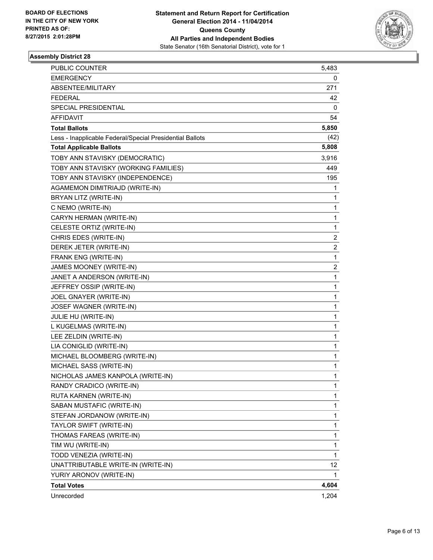

| PUBLIC COUNTER                                           | 5,483          |
|----------------------------------------------------------|----------------|
| <b>EMERGENCY</b>                                         | 0              |
| ABSENTEE/MILITARY                                        | 271            |
| <b>FEDERAL</b>                                           | 42             |
| SPECIAL PRESIDENTIAL                                     | 0              |
| AFFIDAVIT                                                | 54             |
| <b>Total Ballots</b>                                     | 5,850          |
| Less - Inapplicable Federal/Special Presidential Ballots | (42)           |
| <b>Total Applicable Ballots</b>                          | 5,808          |
| TOBY ANN STAVISKY (DEMOCRATIC)                           | 3,916          |
| TOBY ANN STAVISKY (WORKING FAMILIES)                     | 449            |
| TOBY ANN STAVISKY (INDEPENDENCE)                         | 195            |
| AGAMEMON DIMITRIAJD (WRITE-IN)                           | 1              |
| BRYAN LITZ (WRITE-IN)                                    | 1              |
| C NEMO (WRITE-IN)                                        | 1              |
| CARYN HERMAN (WRITE-IN)                                  | 1              |
| CELESTE ORTIZ (WRITE-IN)                                 | 1              |
| CHRIS EDES (WRITE-IN)                                    | 2              |
| DEREK JETER (WRITE-IN)                                   | $\overline{2}$ |
| FRANK ENG (WRITE-IN)                                     | 1              |
| JAMES MOONEY (WRITE-IN)                                  | 2              |
| JANET A ANDERSON (WRITE-IN)                              | 1              |
| JEFFREY OSSIP (WRITE-IN)                                 | 1              |
| JOEL GNAYER (WRITE-IN)                                   | 1              |
| JOSEF WAGNER (WRITE-IN)                                  | 1              |
| JULIE HU (WRITE-IN)                                      | 1              |
| L KUGELMAS (WRITE-IN)                                    | 1              |
| LEE ZELDIN (WRITE-IN)                                    | 1              |
| LIA CONIGLID (WRITE-IN)                                  | 1              |
| MICHAEL BLOOMBERG (WRITE-IN)                             | 1              |
| MICHAEL SASS (WRITE-IN)                                  | 1              |
| NICHOLAS JAMES KANPOLA (WRITE-IN)                        | 1              |
| RANDY CRADICO (WRITE-IN)                                 | 1              |
| RUTA KARNEN (WRITE-IN)                                   | 1              |
| SABAN MUSTAFIC (WRITE-IN)                                | 1              |
| STEFAN JORDANOW (WRITE-IN)                               | 1              |
| TAYLOR SWIFT (WRITE-IN)                                  | 1              |
| THOMAS FAREAS (WRITE-IN)                                 | 1              |
| TIM WU (WRITE-IN)                                        | 1              |
| TODD VENEZIA (WRITE-IN)                                  | 1              |
| UNATTRIBUTABLE WRITE-IN (WRITE-IN)                       | 12             |
| YURIY ARONOV (WRITE-IN)                                  | 1              |
| <b>Total Votes</b>                                       | 4,604          |
| Unrecorded                                               | 1,204          |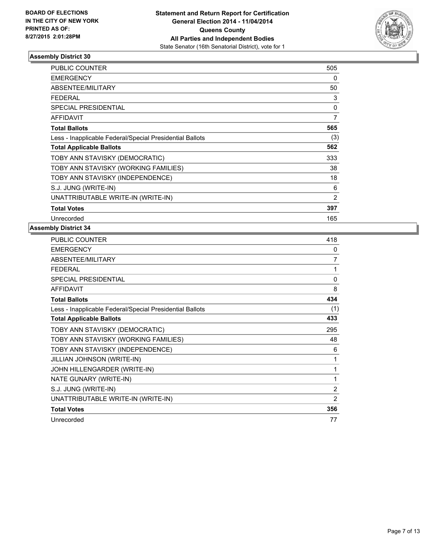

| <b>PUBLIC COUNTER</b>                                    | 505            |
|----------------------------------------------------------|----------------|
| <b>EMERGENCY</b>                                         | 0              |
| ABSENTEE/MILITARY                                        | 50             |
| <b>FEDERAL</b>                                           | 3              |
| <b>SPECIAL PRESIDENTIAL</b>                              | 0              |
| <b>AFFIDAVIT</b>                                         | 7              |
| <b>Total Ballots</b>                                     | 565            |
| Less - Inapplicable Federal/Special Presidential Ballots | (3)            |
| <b>Total Applicable Ballots</b>                          | 562            |
| TOBY ANN STAVISKY (DEMOCRATIC)                           | 333            |
| TOBY ANN STAVISKY (WORKING FAMILIES)                     | 38             |
| TOBY ANN STAVISKY (INDEPENDENCE)                         | 18             |
| S.J. JUNG (WRITE-IN)                                     | 6              |
| UNATTRIBUTABLE WRITE-IN (WRITE-IN)                       | $\overline{2}$ |
| <b>Total Votes</b>                                       | 397            |
| Unrecorded                                               | 165            |

| <b>PUBLIC COUNTER</b>                                    | 418          |
|----------------------------------------------------------|--------------|
| <b>EMERGENCY</b>                                         | 0            |
| ABSENTEE/MILITARY                                        | 7            |
| <b>FEDERAL</b>                                           | 1            |
| <b>SPECIAL PRESIDENTIAL</b>                              | $\mathbf{0}$ |
| <b>AFFIDAVIT</b>                                         | 8            |
| <b>Total Ballots</b>                                     | 434          |
| Less - Inapplicable Federal/Special Presidential Ballots | (1)          |
| <b>Total Applicable Ballots</b>                          | 433          |
| TOBY ANN STAVISKY (DEMOCRATIC)                           | 295          |
| TOBY ANN STAVISKY (WORKING FAMILIES)                     | 48           |
| TOBY ANN STAVISKY (INDEPENDENCE)                         | 6            |
| JILLIAN JOHNSON (WRITE-IN)                               | 1            |
| JOHN HILLENGARDER (WRITE-IN)                             | 1            |
| NATE GUNARY (WRITE-IN)                                   | 1            |
| S.J. JUNG (WRITE-IN)                                     | 2            |
| UNATTRIBUTABLE WRITE-IN (WRITE-IN)                       | 2            |
| <b>Total Votes</b>                                       | 356          |
| Unrecorded                                               | 77           |
|                                                          |              |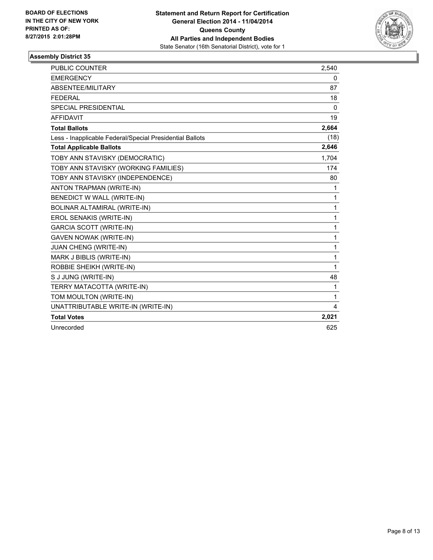

| <b>PUBLIC COUNTER</b>                                    | 2,540        |
|----------------------------------------------------------|--------------|
| <b>EMERGENCY</b>                                         | 0            |
| <b>ABSENTEE/MILITARY</b>                                 | 87           |
| <b>FEDERAL</b>                                           | 18           |
| <b>SPECIAL PRESIDENTIAL</b>                              | $\mathbf{0}$ |
| <b>AFFIDAVIT</b>                                         | 19           |
| <b>Total Ballots</b>                                     | 2,664        |
| Less - Inapplicable Federal/Special Presidential Ballots | (18)         |
| <b>Total Applicable Ballots</b>                          | 2,646        |
| TOBY ANN STAVISKY (DEMOCRATIC)                           | 1.704        |
| TOBY ANN STAVISKY (WORKING FAMILIES)                     | 174          |
| TOBY ANN STAVISKY (INDEPENDENCE)                         | 80           |
| ANTON TRAPMAN (WRITE-IN)                                 | 1            |
| BENEDICT W WALL (WRITE-IN)                               | 1            |
| BOLINAR ALTAMIRAL (WRITE-IN)                             | 1            |
| EROL SENAKIS (WRITE-IN)                                  | 1            |
| <b>GARCIA SCOTT (WRITE-IN)</b>                           | 1            |
| <b>GAVEN NOWAK (WRITE-IN)</b>                            | 1            |
| JUAN CHENG (WRITE-IN)                                    | 1            |
| MARK J BIBLIS (WRITE-IN)                                 | 1            |
| ROBBIE SHEIKH (WRITE-IN)                                 | $\mathbf{1}$ |
| S J JUNG (WRITE-IN)                                      | 48           |
| TERRY MATACOTTA (WRITE-IN)                               | 1            |
| TOM MOULTON (WRITE-IN)                                   | 1            |
| UNATTRIBUTABLE WRITE-IN (WRITE-IN)                       | 4            |
| <b>Total Votes</b>                                       | 2,021        |
| Unrecorded                                               | 625          |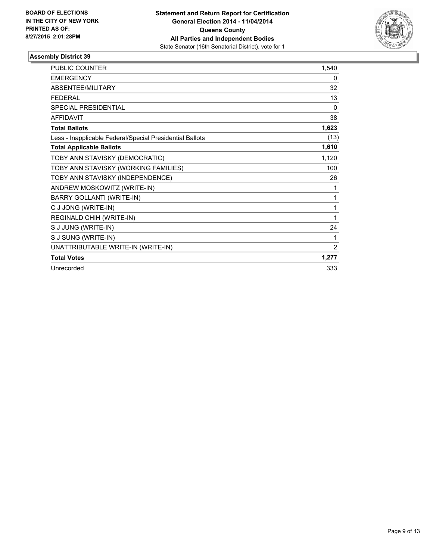

| <b>PUBLIC COUNTER</b>                                    | 1,540    |
|----------------------------------------------------------|----------|
| <b>EMERGENCY</b>                                         | 0        |
| ABSENTEE/MILITARY                                        | 32       |
| <b>FFDFRAL</b>                                           | 13       |
| <b>SPECIAL PRESIDENTIAL</b>                              | $\Omega$ |
| <b>AFFIDAVIT</b>                                         | 38       |
| <b>Total Ballots</b>                                     | 1,623    |
| Less - Inapplicable Federal/Special Presidential Ballots | (13)     |
| <b>Total Applicable Ballots</b>                          | 1,610    |
| TOBY ANN STAVISKY (DEMOCRATIC)                           | 1,120    |
| TOBY ANN STAVISKY (WORKING FAMILIES)                     | 100      |
| TOBY ANN STAVISKY (INDEPENDENCE)                         | 26       |
| ANDREW MOSKOWITZ (WRITE-IN)                              | 1        |
| <b>BARRY GOLLANTI (WRITE-IN)</b>                         | 1        |
| C J JONG (WRITE-IN)                                      | 1        |
| REGINALD CHIH (WRITE-IN)                                 | 1        |
| S J JUNG (WRITE-IN)                                      | 24       |
| S J SUNG (WRITE-IN)                                      | 1        |
| UNATTRIBUTABLE WRITE-IN (WRITE-IN)                       | 2        |
| <b>Total Votes</b>                                       | 1,277    |
| Unrecorded                                               | 333      |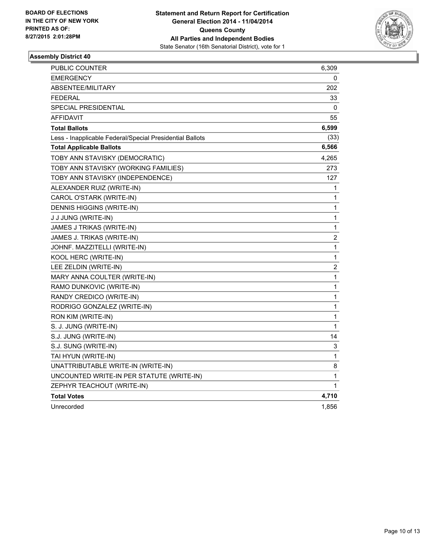

| <b>PUBLIC COUNTER</b>                                    | 6,309                   |
|----------------------------------------------------------|-------------------------|
| EMERGENCY                                                | 0                       |
| ABSENTEE/MILITARY                                        | 202                     |
| <b>FEDERAL</b>                                           | 33                      |
| <b>SPECIAL PRESIDENTIAL</b>                              | 0                       |
| AFFIDAVIT                                                | 55                      |
| <b>Total Ballots</b>                                     | 6,599                   |
| Less - Inapplicable Federal/Special Presidential Ballots | (33)                    |
| <b>Total Applicable Ballots</b>                          | 6,566                   |
| TOBY ANN STAVISKY (DEMOCRATIC)                           | 4,265                   |
| TOBY ANN STAVISKY (WORKING FAMILIES)                     | 273                     |
| TOBY ANN STAVISKY (INDEPENDENCE)                         | 127                     |
| ALEXANDER RUIZ (WRITE-IN)                                | 1                       |
| CAROL O'STARK (WRITE-IN)                                 | 1                       |
| DENNIS HIGGINS (WRITE-IN)                                | 1                       |
| J J JUNG (WRITE-IN)                                      | $\mathbf{1}$            |
| JAMES J TRIKAS (WRITE-IN)                                | 1                       |
| JAMES J. TRIKAS (WRITE-IN)                               | $\overline{c}$          |
| JOHNF. MAZZITELLI (WRITE-IN)                             | $\mathbf 1$             |
| KOOL HERC (WRITE-IN)                                     | 1                       |
| LEE ZELDIN (WRITE-IN)                                    | $\overline{\mathbf{c}}$ |
| MARY ANNA COULTER (WRITE-IN)                             | 1                       |
| RAMO DUNKOVIC (WRITE-IN)                                 | $\mathbf 1$             |
| RANDY CREDICO (WRITE-IN)                                 | 1                       |
| RODRIGO GONZALEZ (WRITE-IN)                              | 1                       |
| RON KIM (WRITE-IN)                                       | 1                       |
| S. J. JUNG (WRITE-IN)                                    | 1                       |
| S.J. JUNG (WRITE-IN)                                     | 14                      |
| S.J. SUNG (WRITE-IN)                                     | 3                       |
| TAI HYUN (WRITE-IN)                                      | 1                       |
| UNATTRIBUTABLE WRITE-IN (WRITE-IN)                       | 8                       |
| UNCOUNTED WRITE-IN PER STATUTE (WRITE-IN)                | 1                       |
| ZEPHYR TEACHOUT (WRITE-IN)                               | 1                       |
| <b>Total Votes</b>                                       | 4,710                   |
| Unrecorded                                               | 1,856                   |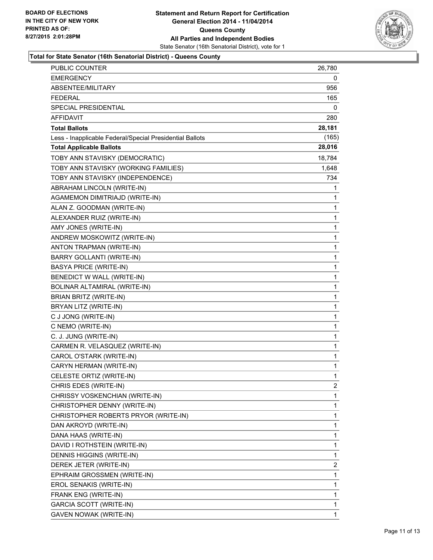

#### **Total for State Senator (16th Senatorial District) - Queens County**

| PUBLIC COUNTER                                           | 26,780 |
|----------------------------------------------------------|--------|
| <b>EMERGENCY</b>                                         | 0      |
| ABSENTEE/MILITARY                                        | 956    |
| <b>FEDERAL</b>                                           | 165    |
| <b>SPECIAL PRESIDENTIAL</b>                              | 0      |
| <b>AFFIDAVIT</b>                                         | 280    |
| <b>Total Ballots</b>                                     | 28,181 |
| Less - Inapplicable Federal/Special Presidential Ballots | (165)  |
| <b>Total Applicable Ballots</b>                          | 28,016 |
| TOBY ANN STAVISKY (DEMOCRATIC)                           | 18,784 |
| TOBY ANN STAVISKY (WORKING FAMILIES)                     | 1,648  |
| TOBY ANN STAVISKY (INDEPENDENCE)                         | 734    |
| ABRAHAM LINCOLN (WRITE-IN)                               | 1      |
| AGAMEMON DIMITRIAJD (WRITE-IN)                           | 1      |
| ALAN Z. GOODMAN (WRITE-IN)                               | 1      |
| ALEXANDER RUIZ (WRITE-IN)                                | 1      |
| AMY JONES (WRITE-IN)                                     | 1      |
| ANDREW MOSKOWITZ (WRITE-IN)                              | 1      |
| ANTON TRAPMAN (WRITE-IN)                                 | 1      |
| <b>BARRY GOLLANTI (WRITE-IN)</b>                         | 1      |
| <b>BASYA PRICE (WRITE-IN)</b>                            | 1      |
| BENEDICT W WALL (WRITE-IN)                               | 1      |
| BOLINAR ALTAMIRAL (WRITE-IN)                             | 1      |
| BRIAN BRITZ (WRITE-IN)                                   | 1      |
| BRYAN LITZ (WRITE-IN)                                    | 1      |
| C J JONG (WRITE-IN)                                      | 1      |
| C NEMO (WRITE-IN)                                        | 1      |
| C. J. JUNG (WRITE-IN)                                    | 1      |
| CARMEN R. VELASQUEZ (WRITE-IN)                           | 1      |
| CAROL O'STARK (WRITE-IN)                                 | 1      |
| CARYN HERMAN (WRITE-IN)                                  | 1      |
| CELESTE ORTIZ (WRITE-IN)                                 | 1      |
| CHRIS EDES (WRITE-IN)                                    | 2      |
| CHRISSY VOSKENCHIAN (WRITE-IN)                           | 1      |
| CHRISTOPHER DENNY (WRITE-IN)                             | 1      |
| CHRISTOPHER ROBERTS PRYOR (WRITE-IN)                     | 1      |
| DAN AKROYD (WRITE-IN)                                    | 1      |
| DANA HAAS (WRITE-IN)                                     | 1      |
| DAVID I ROTHSTEIN (WRITE-IN)                             | 1      |
| DENNIS HIGGINS (WRITE-IN)                                | 1      |
| DEREK JETER (WRITE-IN)                                   | 2      |
| EPHRAIM GROSSMEN (WRITE-IN)                              | 1      |
| EROL SENAKIS (WRITE-IN)                                  | 1      |
| FRANK ENG (WRITE-IN)                                     | 1      |
| <b>GARCIA SCOTT (WRITE-IN)</b>                           | 1      |
| GAVEN NOWAK (WRITE-IN)                                   | 1      |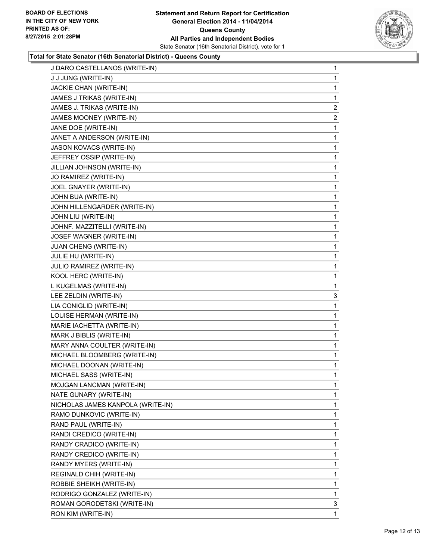

#### **Total for State Senator (16th Senatorial District) - Queens County**

| J DARO CASTELLANOS (WRITE-IN)     | 1            |
|-----------------------------------|--------------|
| J J JUNG (WRITE-IN)               | 1            |
| JACKIE CHAN (WRITE-IN)            | 1            |
| JAMES J TRIKAS (WRITE-IN)         | 1            |
| JAMES J. TRIKAS (WRITE-IN)        | 2            |
| JAMES MOONEY (WRITE-IN)           | $\mathbf{2}$ |
| JANE DOE (WRITE-IN)               | 1            |
| JANET A ANDERSON (WRITE-IN)       | 1            |
| JASON KOVACS (WRITE-IN)           | 1            |
| JEFFREY OSSIP (WRITE-IN)          | 1            |
| JILLIAN JOHNSON (WRITE-IN)        | 1            |
| JO RAMIREZ (WRITE-IN)             | 1            |
| JOEL GNAYER (WRITE-IN)            | 1            |
| JOHN BUA (WRITE-IN)               | 1            |
| JOHN HILLENGARDER (WRITE-IN)      | 1            |
| JOHN LIU (WRITE-IN)               | 1            |
| JOHNF. MAZZITELLI (WRITE-IN)      | 1            |
| JOSEF WAGNER (WRITE-IN)           | 1            |
| JUAN CHENG (WRITE-IN)             | 1            |
| JULIE HU (WRITE-IN)               | 1            |
| JULIO RAMIREZ (WRITE-IN)          | 1            |
| KOOL HERC (WRITE-IN)              | 1            |
| L KUGELMAS (WRITE-IN)             | 1            |
| LEE ZELDIN (WRITE-IN)             | 3            |
| LIA CONIGLID (WRITE-IN)           | 1            |
| LOUISE HERMAN (WRITE-IN)          | 1            |
| MARIE IACHETTA (WRITE-IN)         | 1            |
| MARK J BIBLIS (WRITE-IN)          | 1            |
| MARY ANNA COULTER (WRITE-IN)      | 1            |
| MICHAEL BLOOMBERG (WRITE-IN)      | 1            |
| MICHAEL DOONAN (WRITE-IN)         | 1            |
| MICHAEL SASS (WRITE-IN)           | 1            |
| MOJGAN LANCMAN (WRITE-IN)         | 1            |
| NATE GUNARY (WRITE-IN)            | 1            |
| NICHOLAS JAMES KANPOLA (WRITE-IN) | 1            |
| RAMO DUNKOVIC (WRITE-IN)          | 1            |
| RAND PAUL (WRITE-IN)              | 1            |
| RANDI CREDICO (WRITE-IN)          | 1            |
| RANDY CRADICO (WRITE-IN)          | 1            |
| RANDY CREDICO (WRITE-IN)          | 1            |
| RANDY MYERS (WRITE-IN)            | 1            |
| REGINALD CHIH (WRITE-IN)          | 1            |
| ROBBIE SHEIKH (WRITE-IN)          | 1            |
| RODRIGO GONZALEZ (WRITE-IN)       | 1            |
| ROMAN GORODETSKI (WRITE-IN)       | 3            |
| RON KIM (WRITE-IN)                | 1            |
|                                   |              |